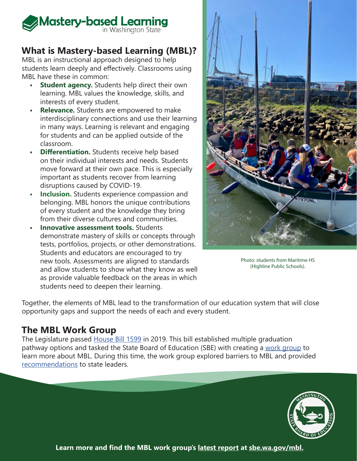

# **What is Mastery-based Learning (MBL)?**

MBL is an instructional approach designed to help students learn deeply and effectively. Classrooms using MBL have these in common:

- **Student agency.** Students help direct their own learning. MBL values the knowledge, skills, and interests of every student.
- **• Relevance.** Students are empowered to make interdisciplinary connections and use their learning in many ways. Learning is relevant and engaging for students and can be applied outside of the classroom.
- **•• Differentiation.** Students receive help based on their individual interests and needs. Students move forward at their own pace. This is especially important as students recover from learning disruptions caused by COVID-19.
- **• Inclusion.** Students experience compassion and belonging. MBL honors the unique contributions of every student and the knowledge they bring from their diverse cultures and communities.
- **• Innovative assessment tools.** Students demonstrate mastery of skills or concepts through tests, portfolios, projects, or other demonstrations. Students and educators are encouraged to try new tools. Assessments are aligned to standards and allow students to show what they know as well as provide valuable feedback on the areas in which students need to deepen their learning.



Photo: students from Maritime HS (Highline Public Schools).

Together, the elements of MBL lead to the transformation of our education system that will close opportunity gaps and support the needs of each and every student.

#### **The MBL Work Group**

The Legislature passed [House Bill 1599](https://app.leg.wa.gov/billsummary?BillNumber=1599&Initiative=false&Year=2019) in 2019. This bill established multiple graduation pathway options and tasked the State Board of Education (SBE) with creating a [work group](https://sbe.wa.gov/our-work/mastery-based-learning-work-group) to learn more about MBL. During this time, the work group explored barriers to MBL and provided [recommendations](https://sbe.wa.gov/our-work/mastery-based-learning-work-group) to state leaders.